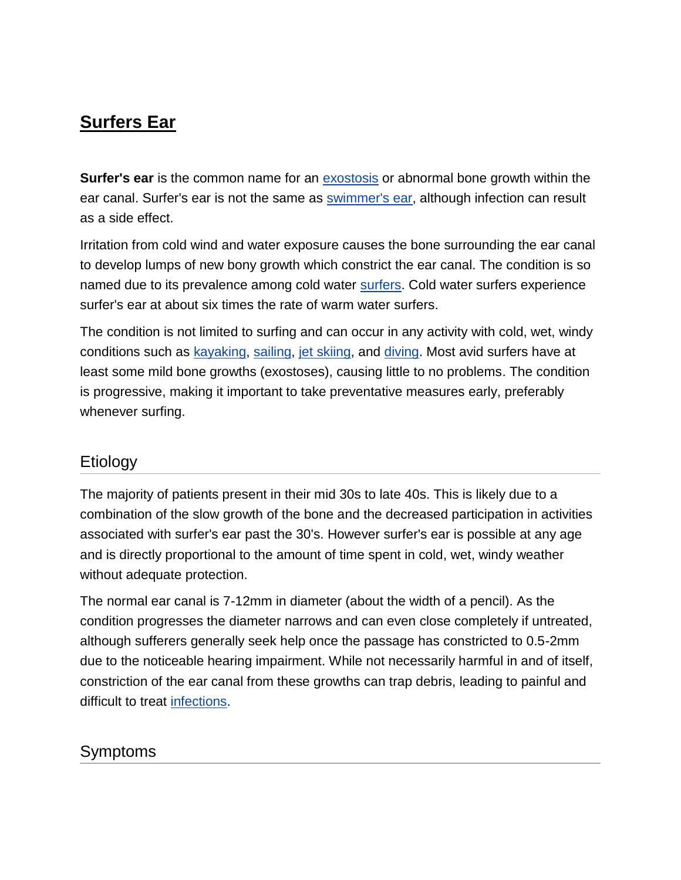# **Surfers Ear**

**Surfer's ear** is the common name for an [exostosis](http://en.wikipedia.org/wiki/Exostosis) or abnormal bone growth within the ear canal. Surfer's ear is not the same as [swimmer's ear,](http://en.wikipedia.org/wiki/Otitis_externa) although infection can result as a side effect.

Irritation from cold wind and water exposure causes the bone surrounding the ear canal to develop lumps of new bony growth which constrict the ear canal. The condition is so named due to its prevalence among cold water [surfers.](http://en.wikipedia.org/wiki/Surfing) Cold water surfers experience surfer's ear at about six times the rate of warm water surfers.

The condition is not limited to surfing and can occur in any activity with cold, wet, windy conditions such as [kayaking,](http://en.wikipedia.org/wiki/Kayak) [sailing,](http://en.wikipedia.org/wiki/Sailing) [jet skiing,](http://en.wikipedia.org/wiki/Jet_Ski) and [diving.](http://en.wikipedia.org/wiki/Diving) Most avid surfers have at least some mild bone growths (exostoses), causing little to no problems. The condition is progressive, making it important to take preventative measures early, preferably whenever surfing.

### Etiology

The majority of patients present in their mid 30s to late 40s. This is likely due to a combination of the slow growth of the bone and the decreased participation in activities associated with surfer's ear past the 30's. However surfer's ear is possible at any age and is directly proportional to the amount of time spent in cold, wet, windy weather without adequate protection.

The normal ear canal is 7-12mm in diameter (about the width of a pencil). As the condition progresses the diameter narrows and can even close completely if untreated, although sufferers generally seek help once the passage has constricted to 0.5-2mm due to the noticeable hearing impairment. While not necessarily harmful in and of itself, constriction of the ear canal from these growths can trap debris, leading to painful and difficult to treat [infections.](http://en.wikipedia.org/wiki/Otitis_externa)

## Symptoms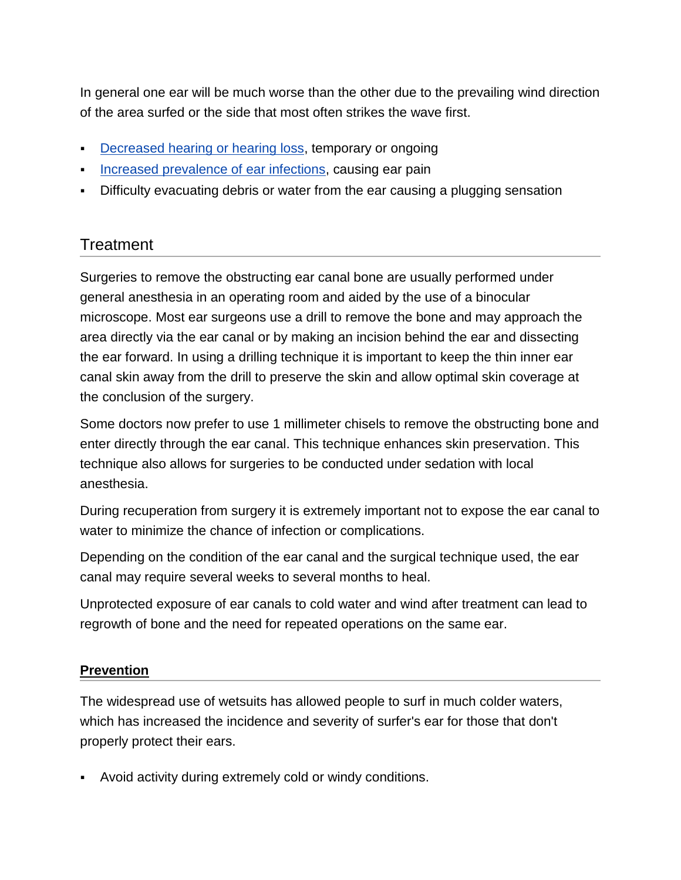In general one ear will be much worse than the other due to the prevailing wind direction of the area surfed or the side that most often strikes the wave first.

- [Decreased hearing or hearing loss,](http://en.wikipedia.org/wiki/Hearing_impairment) temporary or ongoing
- [Increased prevalence of ear infections,](http://en.wikipedia.org/wiki/Otitis_externa) causing ear pain
- Difficulty evacuating debris or water from the ear causing a plugging sensation

### **Treatment**

Surgeries to remove the obstructing ear canal bone are usually performed under general anesthesia in an operating room and aided by the use of a binocular microscope. Most ear surgeons use a drill to remove the bone and may approach the area directly via the ear canal or by making an incision behind the ear and dissecting the ear forward. In using a drilling technique it is important to keep the thin inner ear canal skin away from the drill to preserve the skin and allow optimal skin coverage at the conclusion of the surgery.

Some doctors now prefer to use 1 millimeter chisels to remove the obstructing bone and enter directly through the ear canal. This technique enhances skin preservation. This technique also allows for surgeries to be conducted under sedation with local anesthesia.

During recuperation from surgery it is extremely important not to expose the ear canal to water to minimize the chance of infection or complications.

Depending on the condition of the ear canal and the surgical technique used, the ear canal may require several weeks to several months to heal.

Unprotected exposure of ear canals to cold water and wind after treatment can lead to regrowth of bone and the need for repeated operations on the same ear.

#### **Prevention**

The widespread use of wetsuits has allowed people to surf in much colder waters, which has increased the incidence and severity of surfer's ear for those that don't properly protect their ears.

Avoid activity during extremely cold or windy conditions.